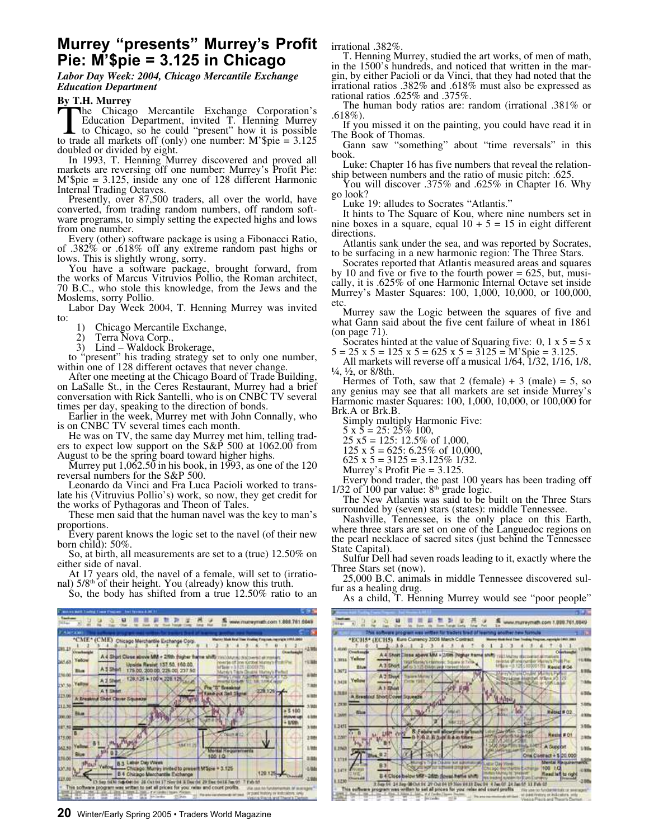## **Murrey "presents" Murrey's Profit Pie: M'\$pie = 3.125 in Chicago**

*Labor Day Week: 2004, Chicago Mercantile Exchange Education Department*

## **By T.H. Murrey**

The Chicago Mercantile Exchange Corporation's<br>Education Department, invited T. Henning Murrey<br>to Chicago, so he could "present" how it is possible<br>to trade all markets off (only) one number: M'\$pie = 3.125 he Chicago Mercantile Exchange Corporation's Education Department, invited T. Henning Murrey to Chicago, so he could "present" how it is possible doubled or divided by eight.

In 1993, T. Henning Murrey discovered and proved all markets are reversing off one number: Murrey's Profit Pie: M'\$pie = 3.125, inside any one of 128 different Harmonic Internal Trading Octaves.

Presently, over 87,500 traders, all over the world, have converted, from trading random numbers, off random software programs, to simply setting the expected highs and lows from one number.

Every (other) software package is using a Fibonacci Ratio, of .382% or .618% off any extreme random past highs or lows. This is slightly wrong, sorry.

You have a software package, brought forward, from the works of Marcus Vitruvios Pollio, the Roman architect, 70 B.C., who stole this knowledge, from the Jews and the Moslems, sorry Pollio.

Labor Day Week 2004, T. Henning Murrey was invited to:

1) Chicago Mercantile Exchange,<br>2) Terra Nova Corp.,

Terra Nova Corp.

3) Lind – Waldock Brokerage,

to "present" his trading strategy set to only one number, within one of 128 different octaves that never change.

After one meeting at the Chicago Board of Trade Building, on LaSalle St., in the Ceres Restaurant, Murrey had a brief conversation with Rick Santelli, who is on CNBC TV several times per day, speaking to the direction of bonds.

Earlier in the week, Murrey met with John Connally, who is on CNBC TV several times each month.

He was on TV, the same day Murrey met him, telling traders to expect low support on the S&P 500 at 1062.00 from August to be the spring board toward higher highs.

Murrey put  $1,062.50$  in his book, in 1993, as one of the 120 reversal numbers for the S&P 500.

Leonardo da Vinci and Fra Luca Pacioli worked to translate his (Vitruvius Pollio's) work, so now, they get credit for the works of Pythagoras and Theon of Tales.

These men said that the human navel was the key to man's proportions.

Every parent knows the logic set to the navel (of their new born child): 50%.

So, at birth, all measurements are set to a (true) 12.50% on either side of naval.

At 17 years old, the navel of a female, will set to (irrational)  $5/8<sup>th</sup>$  of their height. You (already) know this truth.

So, the body has shifted from a true 12.50% ratio to an



**20** Winter/Early Spring 2005 • Traders World Magazine

irrational .382%.

T. Henning Murrey, studied the art works, of men of math, in the 1500's hundreds, and noticed that written in the margin, by either Pacioli or da Vinci, that they had noted that the irrational ratios .382% and .618% must also be expressed as rational ratios .625% and .375%.

The human body ratios are: random (irrational .381% or .618%).

If you missed it on the painting, you could have read it in The Book of Thomas.

Gann saw "something" about "time reversals" in this book.

Luke: Chapter 16 has five numbers that reveal the relationship between numbers and the ratio of music pitch: .625.

You will discover .375% and .625% in Chapter 16. Why go look?

Luke 19: alludes to Socrates "Atlantis."

It hints to The Square of Kou, where nine numbers set in nine boxes in a square, equal  $10 + 5 = 15$  in eight different directions.

Atlantis sank under the sea, and was reported by Socrates, to be surfacing in a new harmonic region: The Three Stars.

Socrates reported that Atlantis measured areas and squares by 10 and five or five to the fourth power  $= 625$ , but, musically, it is .625% of one Harmonic Internal Octave set inside Murrey's Master Squares: 100, 1,000, 10,000, or 100,000, etc.

Murrey saw the Logic between the squares of five and what Gann said about the five cent failure of wheat in 1861 (on page 71).

Socrates hinted at the value of Squaring five:  $0, 1 \times 5 = 5 \times 10$  $5 = 25 \times 5 = 125 \times 5 = 625 \times 5 = 3125 = M$ '\$pie = 3.125.

All markets will reverse off a musical 1/64, 1/32, 1/16, 1/8,  $\frac{1}{4}$ ,  $\frac{1}{2}$ , or 8/8th.

Hermes of Toth, saw that 2 (female)  $+3$  (male)  $= 5$ , so any genius may see that all markets are set inside Murrey's Harmonic master Squares: 100, 1,000, 10,000, or 100,000 for Brk.A or Brk.B.

Simply multiply Harmonic Five:

 $5 \times 5 = 25: 25\% 100,$ 

 $25 \times 5 = 125$ : 12.5% of 1,000

- 125 x 5 = 625: 6.25% of 10,000,
- 625 x  $5 = 3125 = 3.125\%$  1/32. Murrey's Profit Pie = 3.125.

Every bond trader, the past 100 years has been trading off  $1/32$  of  $100$  par value:  $8<sup>th</sup>$  grade logic.

The New Atlantis was said to be built on the Three Stars surrounded by (seven) stars (states): middle Tennessee.

Nashville, Tennessee, is the only place on this Earth, where three stars are set on one of the Languedoc regions on the pearl necklace of sacred sites (just behind the Tennessee State Capital).

Sulfur Dell had seven roads leading to it, exactly where the Three Stars set (now).

25,000 B.C. animals in middle Tennessee discovered sulfur as a healing drug.

As a child, T. Henning Murrey would see "poor people"

|                        |                                 |                        | This summers account was a<br>*ECH5* (ECH5) Euro Currency 2006 March Contract                                                                        |                                                                | <b>International Standard Street of few</b> |                                                 |               |                                                                              | sing Progress, reportable LINE 2001                                               |         |                               |
|------------------------|---------------------------------|------------------------|------------------------------------------------------------------------------------------------------------------------------------------------------|----------------------------------------------------------------|---------------------------------------------|-------------------------------------------------|---------------|------------------------------------------------------------------------------|-----------------------------------------------------------------------------------|---------|-------------------------------|
| 1,4100                 |                                 |                        |                                                                                                                                                      |                                                                |                                             |                                                 |               |                                                                              |                                                                                   |         | 12.90%                        |
| L. WITA ALL            | Countment<br>Yalkow<br>Elum     |                        | A 4 Shoft Close above kill + D/Sm Digitar from shift<br>100 Millet Ark Harmore: Square or Time.<br>A 3 Short surface in the major party to see the A |                                                                |                                             |                                                 |               | 1983 Michael Harrisshiert all markets                                        | celesia all'internazioni Memora Picali Pia<br>http://th.121100001011 Resist # 04- | Ourthun | 11,93%<br>5 Hills             |
| L3672                  | 1.3428 Telling                  | A.2 Short<br>A 1 Ehort | <b>Trailers Matter/A</b><br><b>Corta FMT</b>                                                                                                         |                                                                |                                             |                                                 |               | City is religious assets.                                                    | Marey's Trund Dealer, Market Parker                                               |         | 1:30%                         |
| L'ILBI<br>t rem        |                                 |                        | A Breakful StrattCover Squeeze                                                                                                                       |                                                                |                                             |                                                 | <b>August</b> |                                                                              |                                                                                   |         | 436 <sub>0</sub><br>1,88%     |
| <b>Lister</b><br>1,345 | <b>Class</b>                    |                        |                                                                                                                                                      |                                                                |                                             |                                                 |               |                                                                              | <b>Rebied # 02</b>                                                                |         | 4 String<br>3.50 <sub>h</sub> |
| 1.2200                 |                                 |                        |                                                                                                                                                      | 2 Education Store                                              |                                             | MARINE SOFTWIRE RUSHEROS                        | Concertible   |                                                                              | Nested # Of                                                                       |         | 1986                          |
| 1,2943.<br><b>ATTE</b> |                                 |                        |                                                                                                                                                      |                                                                | <b>Videos</b>                               |                                                 |               | <b>O INSURFIT LIFE RANCE</b>                                                 | A Support<br>Ona Contract + \$ (20,000)                                           |         | 1.00%                         |
| 1,1230                 | <b>Service Additional State</b> |                        | B 4 Cloce below MV - 2020 downt with shift                                                                                                           | Tyday Crainer was sub-<br><b>OF ALL HOMES EXPANDED TO HIM.</b> |                                             | Allian Day Words<br><b>MANUELAUM/IN WASHING</b> |               | <b>Chrono merchantes Exchange</b><br>NA original system for Starts Exercises | Mental Requirements<br>100<br>10 <sup>2</sup><br>Raad laft to res                 |         | 4, 9394                       |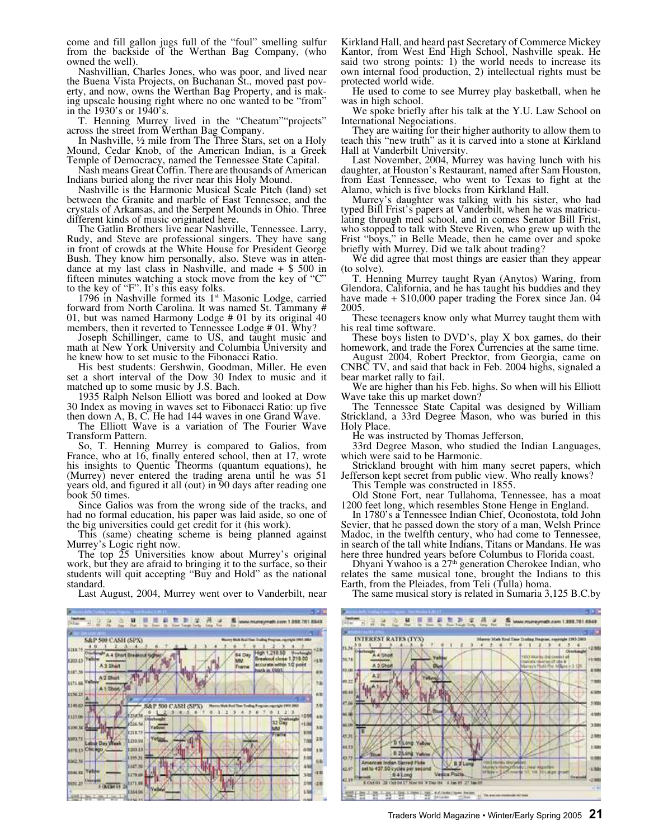come and fill gallon jugs full of the "foul" smelling sulfur from the backside of the Werthan Bag Company, (who owned the well).

Nashvillian, Charles Jones, who was poor, and lived near the Buena Vista Projects, on Buchanan St., moved past poverty, and now, owns the Werthan Bag Property, and is making upscale housing right where no one wanted to be "from" in the 1930's or 1940's.

T. Henning Murrey lived in the "Cheatum""projects" across the street from Werthan Bag Company.

In Nashville, ½ mile from The Three Stars, set on a Holy Mound, Cedar Knob, of the American Indian, is a Greek Temple of Democracy, named the Tennessee State Capital.

Nash means Great Coffin. There are thousands of American Indians buried along the river near this Holy Mound.

Nashville is the Harmonic Musical Scale Pitch (land) set between the Granite and marble of East Tennessee, and the crystals of Arkansas, and the Serpent Mounds in Ohio. Three different kinds of music originated here.

The Gatlin Brothers live near Nashville, Tennessee. Larry, Rudy, and Steve are professional singers. They have sang in front of crowds at the White House for President George Bush. They know him personally, also. Steve was in attendance at my last class in Nashville, and made  $+$  \$ 500 in fifteen minutes watching a stock move from the key of "C" to the key of "F". It's this easy folks.

1796 in Nashville formed its  $1<sup>st</sup>$  Masonic Lodge, carried forward from North Carolina. It was named St. Tammany # 01, but was named Harmony Lodge # 01 by its original 40 members, then it reverted to Tennessee Lodge # 01. Why?

Joseph Schillinger, came to US, and taught music and math at New York University and Columbia University and he knew how to set music to the Fibonacci Ratio.

His best students: Gershwin, Goodman, Miller. He even set a short interval of the Dow 30 Index to music and it matched up to some music by J.S. Bach.

1935 Ralph Nelson Elliott was bored and looked at Dow 30 Index as moving in waves set to Fibonacci Ratio: up five then down A, B, C. He had 144 waves in one Grand Wave.

The Elliott Wave is a variation of The Fourier Wave Transform Pattern.

So, T. Henning Murrey is compared to Galios, from France, who at 16, finally entered school, then at 17, wrote his insights to Quentic Theorms (quantum equations), he (Murrey) never entered the trading arena until he was 51 years old, and figured it all (out) in 90 days after reading one book 50 times.

Since Galios was from the wrong side of the tracks, and had no formal education, his paper was laid aside, so one of the big universities could get credit for it (his work).

This (same) cheating scheme is being planned against Murrey's Logic right now.

The top 25 Universities know about Murrey's original work, but they are afraid to bringing it to the surface, so their students will quit accepting "Buy and Hold" as the national standard.

Last August, 2004, Murrey went over to Vanderbilt, near



Kirkland Hall, and heard past Secretary of Commerce Mickey Kantor, from West End High School, Nashville speak. He said two strong points: 1) the world needs to increase its own internal food production, 2) intellectual rights must be protected world wide.

He used to come to see Murrey play basketball, when he was in high school.

We spoke briefly after his talk at the Y.U. Law School on International Negociations.

They are waiting for their higher authority to allow them to teach this "new truth" as it is carved into a stone at Kirkland Hall at Vanderbilt University.

Last November, 2004, Murrey was having lunch with his daughter, at Houston's Restaurant, named after Sam Houston, from East Tennessee, who went to Texas to fight at the Alamo, which is five blocks from Kirkland Hall.

Murrey's daughter was talking with his sister, who had typed Bill Frist's papers at Vanderbilt, when he was matriculating through med school, and in comes Senator Bill Frist, who stopped to talk with Steve Riven, who grew up with the Frist "boys," in Belle Meade, then he came over and spoke briefly with Murrey. Did we talk about trading?

We did agree that most things are easier than they appear (to solve).

T. Henning Murrey taught Ryan (Anytos) Waring, from Glendora, California, and he has taught his buddies and they have made  $+$  \$10,000 paper trading the Forex since Jan. 04 2005.

These teenagers know only what Murrey taught them with his real time software.

These boys listen to DVD's, play X box games, do their homework, and trade the Forex Currencies at the same time.

August 2004, Robert Precktor, from Georgia, came on CNBC TV, and said that back in Feb. 2004 highs, signaled a bear market rally to fail.

We are higher than his Feb. highs. So when will his Elliott Wave take this up market down?

The Tennessee State Capital was designed by William Strickland, a 33rd Degree Mason, who was buried in this Holy Place.

He was instructed by Thomas Jefferson,

33rd Degree Mason, who studied the Indian Languages, which were said to be Harmonic.

Strickland brought with him many secret papers, which Jefferson kept secret from public view. Who really knows?

This Temple was constructed in 1855.

Old Stone Fort, near Tullahoma, Tennessee, has a moat 1200 feet long, which resembles Stone Henge in England.

In 1780's a Tennessee Indian Chief, Oconostota, told John Sevier, that he passed down the story of a man, Welsh Prince Madoc, in the twelfth century, who had come to Tennessee, in search of the tall white Indians, Titans or Mandans. He was here three hundred years before Columbus to Florida coast.

Dhyani Ywahoo is a 27<sup>th</sup> generation Cherokee Indian, who relates the same musical tone, brought the Indians to this Earth, from the Pleiades, from Teli (Tulla) homa.

The same musical story is related in Sumaria 3,125 B.C.by

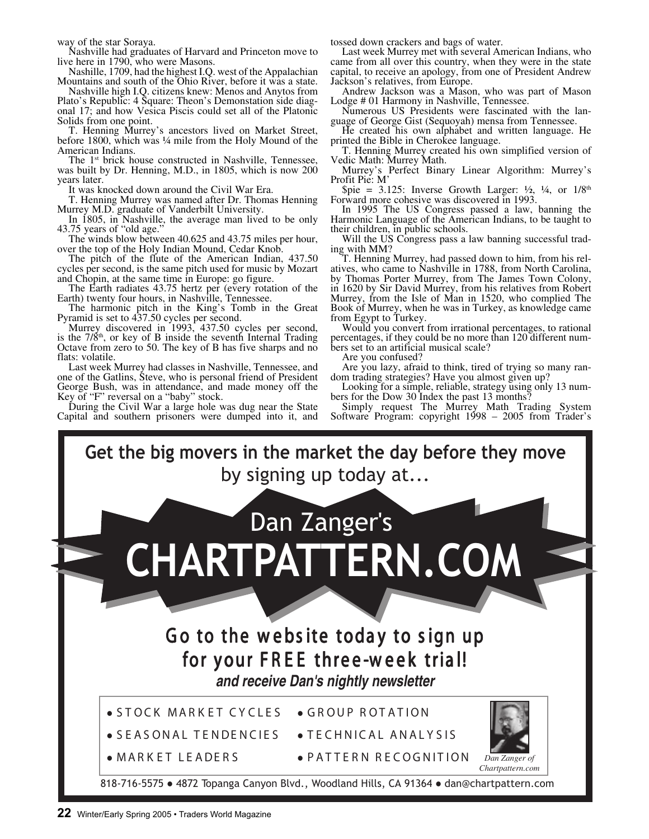way of the star Soraya.

Nashville had graduates of Harvard and Princeton move to live here in 1790, who were Masons.

Nashille, 1709, had the highest I.Q. west of the Appalachian Mountains and south of the Ohio River, before it was a state.

Nashville high I.Q. citizens knew: Menos and Anytos from Plato's Republic: 4 Square: Theon's Demonstation side diagonal 17; and how Vesica Piscis could set all of the Platonic Solids from one point.

T. Henning Murrey's ancestors lived on Market Street, before 1800, which was ¼ mile from the Holy Mound of the American Indians.

The 1<sup>st</sup> brick house constructed in Nashville, Tennessee, was built by Dr. Henning, M.D., in 1805, which is now 200 years later.

It was knocked down around the Civil War Era.

T. Henning Murrey was named after Dr. Thomas Henning Murrey M.D. graduate of Vanderbilt University.

In 1805, in Nashville, the average man lived to be only 43.75 years of "old age."

The winds blow between 40.625 and 43.75 miles per hour, over the top of the Holy Indian Mound, Cedar Knob.

The pitch of the flute of the American Indian, 437.50 cycles per second, is the same pitch used for music by Mozart and Chopin, at the same time in Europe: go figure.

The Earth radiates 43.75 hertz per (every rotation of the Earth) twenty four hours, in Nashville, Tennessee.

The harmonic pitch in the King's Tomb in the Great Pyramid is set to 437.50 cycles per second.

Murrey discovered in 1993, 437.50 cycles per second, is the  $7/\hat{8}$ <sup>th</sup>, or key of B inside the seventh Internal Trading Octave from zero to 50. The key of B has five sharps and no flats: volatile.

Last week Murrey had classes in Nashville, Tennessee, and one of the Gatlins, Steve, who is personal friend of President George Bush, was in attendance, and made money off the Key of "F" reversal on a "baby" stock.

During the Civil War a large hole was dug near the State Capital and southern prisoners were dumped into it, and

tossed down crackers and bags of water.

Last week Murrey met with several American Indians, who came from all over this country, when they were in the state capital, to receive an apology, from one of President Andrew Jackson's relatives, from Europe.

Andrew Jackson was a Mason, who was part of Mason Lodge # 01 Harmony in Nashville, Tennessee.

Numerous US Presidents were fascinated with the language of George Gist (Sequoyah) mensa from Tennessee.

He created his own alphabet and written language. He printed the Bible in Cherokee language.

T. Henning Murrey created his own simplified version of Vedic Math: Murrey Math.

Murrey's Perfect Binary Linear Algorithm: Murrey's Profit Pie: M'

 $$pie = 3.125$ : Inverse Growth Larger:  $\frac{1}{2}$ ,  $\frac{1}{4}$ , or  $1/8<sup>th</sup>$ Forward more cohesive was discovered in 1993.

In 1995 The US Congress passed a law, banning the Harmonic Language of the American Indians, to be taught to their children, in public schools.

Will the US Congress pass a law banning successful trading with MM?

T. Henning Murrey, had passed down to him, from his relatives, who came to Nashville in 1788, from North Carolina, by Thomas Porter Murrey, from The James Town Colony, in 1620 by Sir David Murrey, from his relatives from Robert Murrey, from the Isle of Man in 1520, who complied The Book of Murrey, when he was in Turkey, as knowledge came from Egypt to Turkey.

Would you convert from irrational percentages, to rational percentages, if they could be no more than 120 different numbers set to an artificial musical scale?

Are you confused?

Are you lazy, afraid to think, tired of trying so many random trading strategies? Have you almost given up?

Looking for a simple, reliable, strategy using only 13 numbers for the Dow 30 Index the past 13 months?

Simply request The Murrey Math Trading System Software Program: copyright 1998 – 2005 from Trader's

**Get the big movers in the market the day before they move** by signing up today at...



818-716-5575 • 4872 Topanga Canyon Blvd., Woodland Hills, CA 91364 • dan@chartpattern.com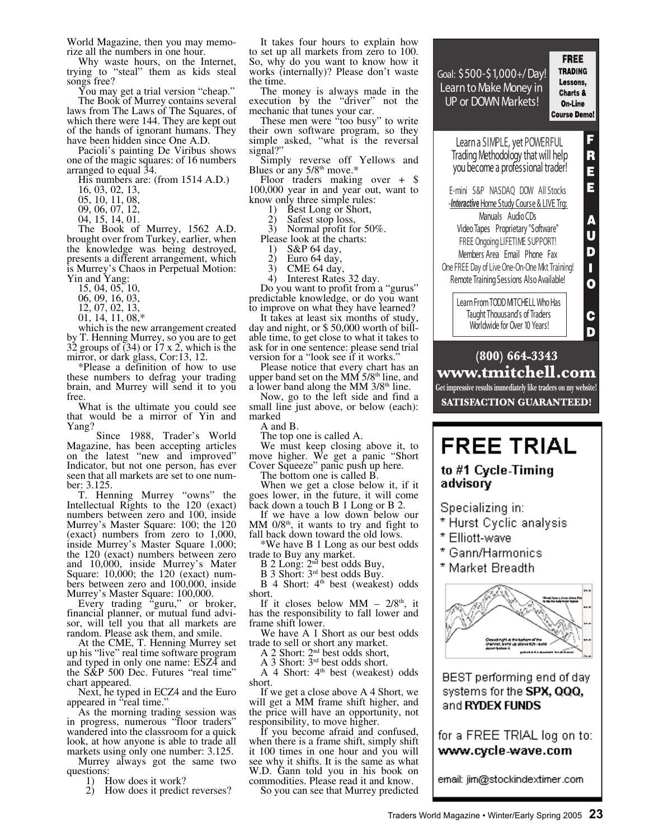World Magazine, then you may memorize all the numbers in one hour.

Why waste hours, on the Internet, trying to "steal" them as kids steal songs free?

You may get a trial version "cheap." The Book of Murrey contains several laws from The Laws of The Squares, of which there were 144. They are kept out of the hands of ignorant humans. They have been hidden since One A.D.

Pacioli's painting De Viribus shows one of the magic squares: of 16 numbers arranged to equal 34.

- His numbers are: (from 1514 A.D.)
- 16, 03, 02, 13,
- 05, 10, 11, 08,
- 09, 06, 07, 12,
- 04, 15, 14, 01.

The Book of Murrey, 1562 A.D. brought over from Turkey, earlier, when the knowledge was being destroyed, presents a different arrangement, which is Murrey's Chaos in Perpetual Motion: Yin and Yang:

- 15, 04, 05, 10,
- 06, 09, 16, 03,
- 12, 07, 02, 13,
- 01, 14, 11, 08,\*

which is the new arrangement created by T. Henning Murrey, so you are to get 32 groups of  $(34)$  or  $17 \times 2$ , which is the mirror, or dark glass, Cor:13, 12.

\*Please a definition of how to use these numbers to defrag your trading brain, and Murrey will send it to you free

What is the ultimate you could see that would be a mirror of Yin and Yang?

 Since 1988, Trader's World Magazine, has been accepting articles on the latest "new and improved" Indicator, but not one person, has ever seen that all markets are set to one number: 3.125.

T. Henning Murrey "owns" the Intellectual Rights to the 120 (exact) numbers between zero and 100, inside Murrey's Master Square: 100; the 120 (exact) numbers from zero to 1,000, inside Murrey's Master Square 1,000; the 120 (exact) numbers between zero and 10,000, inside Murrey's Mater Square: 10,000; the 120 (exact) numbers between zero and 100,000, inside Murrey's Master Square: 100,000.

Every trading "guru," or broker, financial planner, or mutual fund advisor, will tell you that all markets are random. Please ask them, and smile.

At the CME, T. Henning Murrey set up his "live" real time software program and typed in only one name: ESZ4 and the S&P 500 Dec. Futures "real time" chart appeared.

Next, he typed in ECZ4 and the Euro appeared in "real time."

As the morning trading session was in progress, numerous "floor traders" wandered into the classroom for a quick look, at how anyone is able to trade all markets using only one number: 3.125.

Murrey always got the same two questions:

- 1) How does it work?
- 2) How does it predict reverses?

It takes four hours to explain how to set up all markets from zero to 100. So, why do you want to know how it works (internally)? Please don't waste the time.

The money is always made in the execution by the "driver" not the mechanic that tunes your car.

These men were "too busy" to write their own software program, so they simple asked, "what is the reversal signal?

Simply reverse off Yellows and Blues or any 5/8<sup>th</sup> move.\*

Floor traders making over + \$ 100,000 year in and year out, want to know only three simple rules:

- 1) Best Long or Short,
- 2) Safest stop loss,

3) Normal profit for 50%. Please look at the charts:<br>1)  $S\&P 64 \text{ day.}$ 

- 
- 1) S&P 64 day,<br>2) Euro 64 day,
- 2) Euro 64 day,<br>3) CME 64 day CME 64 day,
- 4) Interest Rates 32 day.

Do you want to profit from a "gurus" predictable knowledge, or do you want to improve on what they have learned?

It takes at least six months of study, day and night, or \$ 50,000 worth of billable time, to get close to what it takes to ask for in one sentence: please send trial version for a "look see if it works."

Please notice that every chart has an upper band set on the MM  $5/8<sup>th</sup>$  line, and a lower band along the MM 3/8<sup>th</sup> line.

Now, go to the left side and find a small line just above, or below (each): marked

A and B.

The top one is called A.

We must keep closing above it, to move higher. We get a panic "Short Cover Squeeze" panic push up here.

The bottom one is called B.

When we get a close below it, if it goes lower, in the future, it will come back down a touch B 1 Long or B 2.

If we have a low down below our  $\overline{MM}$  0/8<sup>th</sup>, it wants to try and fight to fall back down toward the old lows.

\*We have B 1 Long as our best odds trade to Buy any market.

 $B$  2 Long:  $2<sup>nd</sup>$  best odds Buy,

 $\overline{B}$  3 Short:  $3^{rd}$  best odds Buy.

 $B$  4 Short:  $4<sup>th</sup>$  best (weakest) odds short.

If it closes below MM –  $2/8<sup>th</sup>$ , it has the responsibility to fall lower and frame shift lower.

We have A 1 Short as our best odds trade to sell or short any market.

A 2 Short: 2nd best odds short,

A 3 Short: 3rd best odds short.

A 4 Short:  $4<sup>th</sup>$  best (weakest) odds short.

If we get a close above A 4 Short, we will get a MM frame shift higher, and the price will have an opportunity, not responsibility, to move higher.

If you become afraid and confused, when there is a frame shift, simply shift it 100 times in one hour and you will see why it shifts. It is the same as what W.D. Gann told you in his book on commodities. Please read it and know.

So you can see that Murrey predicted



 $(800)$  664-3343 www.tmitchell.com **Get impressive results immediately like traders on my website! SATISFACTION GUARANTEED!** 

## **FREE TRIAL**

to #1 Cycle-Timing advisory

Specializing in:

- \* Hurst Cyclic analysis
- \* Elliott-wave
- \* Gann/Harmonics
- \* Market Breadth



BEST performing end of day systems for the **SPX, QQQ,** and RYDEX FUNDS

for a FREE TRIAL log on to: www.cycle-wave.com

email: jim@stockindextimer.com